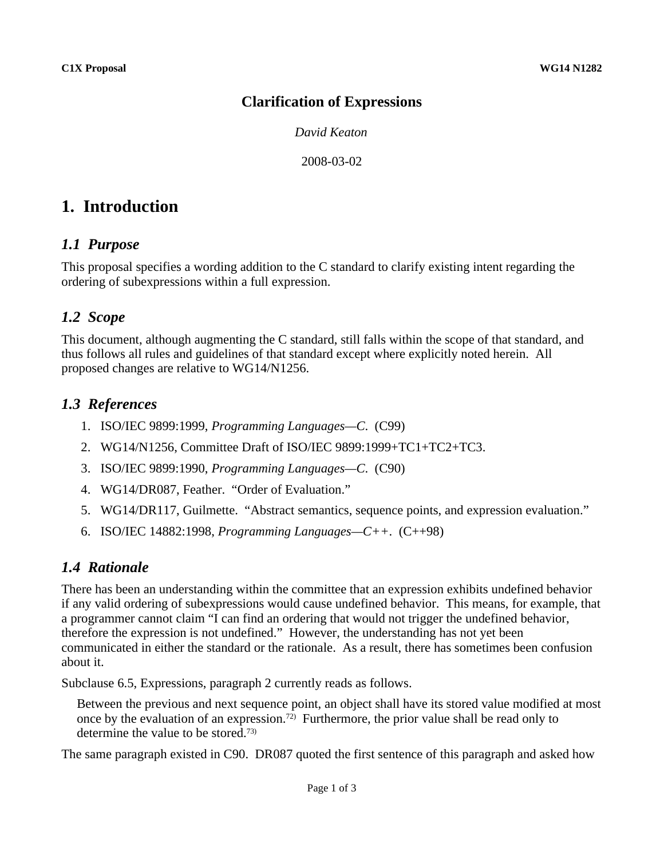#### **Clarification of Expressions**

*David Keaton*

2008-03-02

# **1. Introduction**

#### *1.1 Purpose*

This proposal specifies a wording addition to the C standard to clarify existing intent regarding the ordering of subexpressions within a full expression.

## *1.2 Scope*

This document, although augmenting the C standard, still falls within the scope of that standard, and thus follows all rules and guidelines of that standard except where explicitly noted herein. All proposed changes are relative to WG14/N1256.

### *1.3 References*

- 1. ISO/IEC 9899:1999, *Programming Languages—C*. (C99)
- 2. WG14/N1256, Committee Draft of ISO/IEC 9899:1999+TC1+TC2+TC3.
- 3. ISO/IEC 9899:1990, *Programming Languages—C*. (C90)
- 4. WG14/DR087, Feather. "Order of Evaluation."
- 5. WG14/DR117, Guilmette. "Abstract semantics, sequence points, and expression evaluation."
- 6. ISO/IEC 14882:1998, *Programming Languages—C++*. (C++98)

## *1.4 Rationale*

There has been an understanding within the committee that an expression exhibits undefined behavior if any valid ordering of subexpressions would cause undefined behavior. This means, for example, that a programmer cannot claim "I can find an ordering that would not trigger the undefined behavior, therefore the expression is not undefined." However, the understanding has not yet been communicated in either the standard or the rationale. As a result, there has sometimes been confusion about it.

Subclause 6.5, Expressions, paragraph 2 currently reads as follows.

Between the previous and next sequence point, an object shall have its stored value modified at most once by the evaluation of an expression.<sup>72)</sup> Furthermore, the prior value shall be read only to determine the value to be stored.73)

The same paragraph existed in C90. DR087 quoted the first sentence of this paragraph and asked how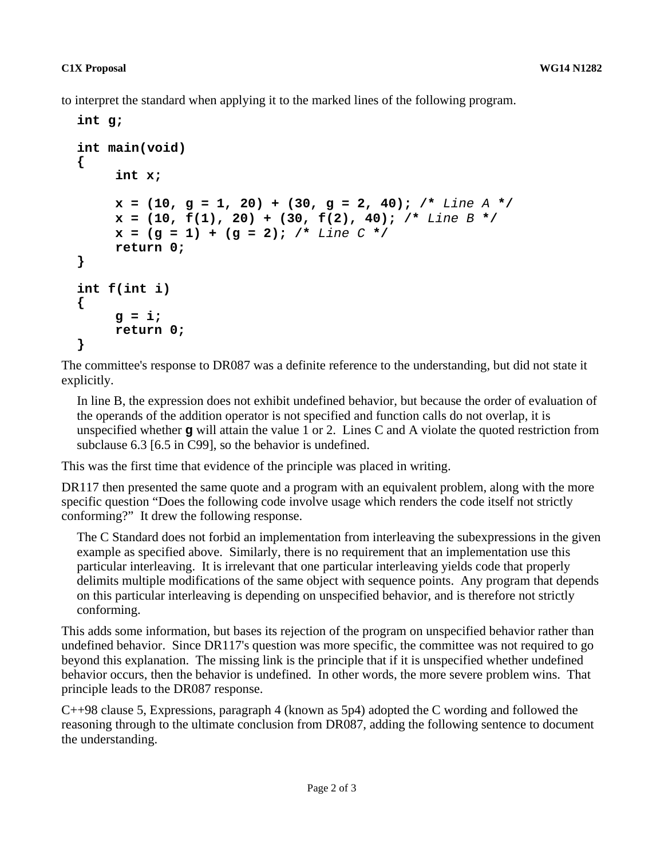to interpret the standard when applying it to the marked lines of the following program.

```
int g;
int main(void)
{
     int x;
     x = (10, g = 1, 20) + (30, g = 2, 40); /* Line A */
     x = (10, f(1), 20) + (30, f(2), 40); /* Line B */
     x = (g = 1) + (g = 2); /* Line C */
     return 0;
}
int f(int i)
{
     g = i;
     return 0;
}
```
The committee's response to DR087 was a definite reference to the understanding, but did not state it explicitly.

In line B, the expression does not exhibit undefined behavior, but because the order of evaluation of the operands of the addition operator is not specified and function calls do not overlap, it is unspecified whether **g** will attain the value 1 or 2. Lines C and A violate the quoted restriction from subclause 6.3 [6.5 in C99], so the behavior is undefined.

This was the first time that evidence of the principle was placed in writing.

DR117 then presented the same quote and a program with an equivalent problem, along with the more specific question "Does the following code involve usage which renders the code itself not strictly conforming?" It drew the following response.

The C Standard does not forbid an implementation from interleaving the subexpressions in the given example as specified above. Similarly, there is no requirement that an implementation use this particular interleaving. It is irrelevant that one particular interleaving yields code that properly delimits multiple modifications of the same object with sequence points. Any program that depends on this particular interleaving is depending on unspecified behavior, and is therefore not strictly conforming.

This adds some information, but bases its rejection of the program on unspecified behavior rather than undefined behavior. Since DR117's question was more specific, the committee was not required to go beyond this explanation. The missing link is the principle that if it is unspecified whether undefined behavior occurs, then the behavior is undefined. In other words, the more severe problem wins. That principle leads to the DR087 response.

C++98 clause 5, Expressions, paragraph 4 (known as 5p4) adopted the C wording and followed the reasoning through to the ultimate conclusion from DR087, adding the following sentence to document the understanding.